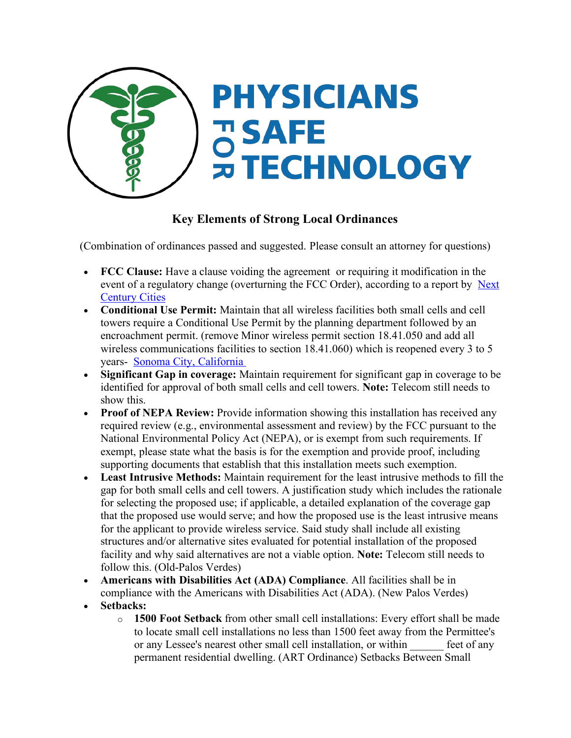

## **Key Elements of Strong Local Ordinances**

(Combination of ordinances passed and suggested. Please consult an attorney for questions)

- **FCC Clause:** Have a clause voiding the agreement or requiring it modification in the event of a regulatory change (overturning the FCC Order), according to a report by Next Century Cities
- **Conditional Use Permit:** Maintain that all wireless facilities both small cells and cell towers require a Conditional Use Permit by the planning department followed by an encroachment permit. (remove Minor wireless permit section 18.41.050 and add all wireless communications facilities to section 18.41.060) which is reopened every 3 to 5 years- Sonoma City, California
- **Significant Gap in coverage:** Maintain requirement for significant gap in coverage to be identified for approval of both small cells and cell towers. **Note:** Telecom still needs to show this.
- **Proof of NEPA Review:** Provide information showing this installation has received any required review (e.g., environmental assessment and review) by the FCC pursuant to the National Environmental Policy Act (NEPA), or is exempt from such requirements. If exempt, please state what the basis is for the exemption and provide proof, including supporting documents that establish that this installation meets such exemption.
- **Least Intrusive Methods:** Maintain requirement for the least intrusive methods to fill the gap for both small cells and cell towers. A justification study which includes the rationale for selecting the proposed use; if applicable, a detailed explanation of the coverage gap that the proposed use would serve; and how the proposed use is the least intrusive means for the applicant to provide wireless service. Said study shall include all existing structures and/or alternative sites evaluated for potential installation of the proposed facility and why said alternatives are not a viable option. **Note:** Telecom still needs to follow this. (Old-Palos Verdes)
- **Americans with Disabilities Act (ADA) Compliance**. All facilities shall be in compliance with the Americans with Disabilities Act (ADA). (New Palos Verdes)
- **Setbacks:**
	- o **1500 Foot Setback** from other small cell installations: Every effort shall be made to locate small cell installations no less than 1500 feet away from the Permittee's or any Lessee's nearest other small cell installation, or within \_\_\_\_\_\_ feet of any permanent residential dwelling. (ART Ordinance) Setbacks Between Small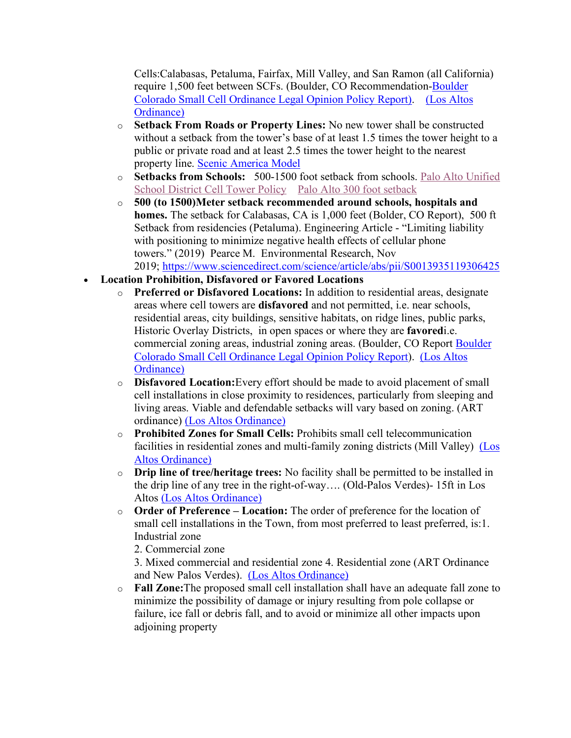Cells:Calabasas, Petaluma, Fairfax, Mill Valley, and San Ramon (all California) require 1,500 feet between SCFs. (Boulder, CO Recommendation-Boulder Colorado Small Cell Ordinance Legal Opinion Policy Report). (Los Altos Ordinance)

- o **Setback From Roads or Property Lines:** No new tower shall be constructed without a setback from the tower's base of at least 1.5 times the tower height to a public or private road and at least 2.5 times the tower height to the nearest property line. Scenic America Model
- o **Setbacks from Schools:** 500-1500 foot setback from schools. Palo Alto Unified School District Cell Tower Policy Palo Alto 300 foot setback
- o **500 (to 1500)Meter setback recommended around schools, hospitals and homes.** The setback for Calabasas, CA is 1,000 feet (Bolder, CO Report), 500 ft Setback from residencies (Petaluma). Engineering Article - "Limiting liability with positioning to minimize negative health effects of cellular phone towers." (2019) Pearce M. Environmental Research, Nov 2019; https://www.sciencedirect.com/science/article/abs/pii/S0013935119306425
- **Location Prohibition, Disfavored or Favored Locations**
	- o **Preferred or Disfavored Locations:** In addition to residential areas, designate areas where cell towers are **disfavored** and not permitted, i.e. near schools, residential areas, city buildings, sensitive habitats, on ridge lines, public parks, Historic Overlay Districts, in open spaces or where they are **favored**i.e. commercial zoning areas, industrial zoning areas. (Boulder, CO Report Boulder Colorado Small Cell Ordinance Legal Opinion Policy Report). (Los Altos Ordinance)
	- o **Disfavored Location:**Every effort should be made to avoid placement of small cell installations in close proximity to residences, particularly from sleeping and living areas. Viable and defendable setbacks will vary based on zoning. (ART ordinance) (Los Altos Ordinance)
	- o **Prohibited Zones for Small Cells:** Prohibits small cell telecommunication facilities in residential zones and multi-family zoning districts (Mill Valley) (Los Altos Ordinance)
	- o **Drip line of tree/heritage trees:** No facility shall be permitted to be installed in the drip line of any tree in the right-of-way…. (Old-Palos Verdes)- 15ft in Los Altos (Los Altos Ordinance)
	- o **Order of Preference – Location:** The order of preference for the location of small cell installations in the Town, from most preferred to least preferred, is:1. Industrial zone

2. Commercial zone

3. Mixed commercial and residential zone 4. Residential zone (ART Ordinance and New Palos Verdes). (Los Altos Ordinance)

o **Fall Zone:**The proposed small cell installation shall have an adequate fall zone to minimize the possibility of damage or injury resulting from pole collapse or failure, ice fall or debris fall, and to avoid or minimize all other impacts upon adioining property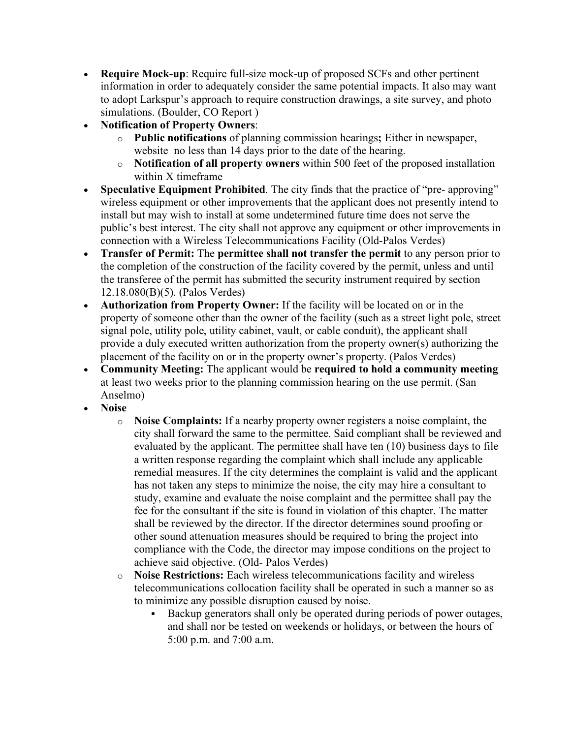- **Require Mock-up**: Require full-size mock-up of proposed SCFs and other pertinent information in order to adequately consider the same potential impacts. It also may want to adopt Larkspur's approach to require construction drawings, a site survey, and photo simulations. (Boulder, CO Report )
- **Notification of Property Owners**:
	- o **Public notifications** of planning commission hearings**;** Either in newspaper, website no less than 14 days prior to the date of the hearing.
	- o **Notification of all property owners** within 500 feet of the proposed installation within X timeframe
- **Speculative Equipment Prohibited***.* The city finds that the practice of "pre- approving" wireless equipment or other improvements that the applicant does not presently intend to install but may wish to install at some undetermined future time does not serve the public's best interest. The city shall not approve any equipment or other improvements in connection with a Wireless Telecommunications Facility (Old-Palos Verdes)
- **Transfer of Permit:** The **permittee shall not transfer the permit** to any person prior to the completion of the construction of the facility covered by the permit, unless and until the transferee of the permit has submitted the security instrument required by section 12.18.080(B)(5). (Palos Verdes)
- **Authorization from Property Owner:** If the facility will be located on or in the property of someone other than the owner of the facility (such as a street light pole, street signal pole, utility pole, utility cabinet, vault, or cable conduit), the applicant shall provide a duly executed written authorization from the property owner(s) authorizing the placement of the facility on or in the property owner's property. (Palos Verdes)
- **Community Meeting:** The applicant would be **required to hold a community meeting** at least two weeks prior to the planning commission hearing on the use permit. (San Anselmo)
- **Noise**
	- o **Noise Complaints:** If a nearby property owner registers a noise complaint, the city shall forward the same to the permittee. Said compliant shall be reviewed and evaluated by the applicant. The permittee shall have ten (10) business days to file a written response regarding the complaint which shall include any applicable remedial measures. If the city determines the complaint is valid and the applicant has not taken any steps to minimize the noise, the city may hire a consultant to study, examine and evaluate the noise complaint and the permittee shall pay the fee for the consultant if the site is found in violation of this chapter. The matter shall be reviewed by the director. If the director determines sound proofing or other sound attenuation measures should be required to bring the project into compliance with the Code, the director may impose conditions on the project to achieve said objective. (Old- Palos Verdes)
	- o **Noise Restrictions:** Each wireless telecommunications facility and wireless telecommunications collocation facility shall be operated in such a manner so as to minimize any possible disruption caused by noise.
		- § Backup generators shall only be operated during periods of power outages, and shall nor be tested on weekends or holidays, or between the hours of 5:00 p.m. and 7:00 a.m.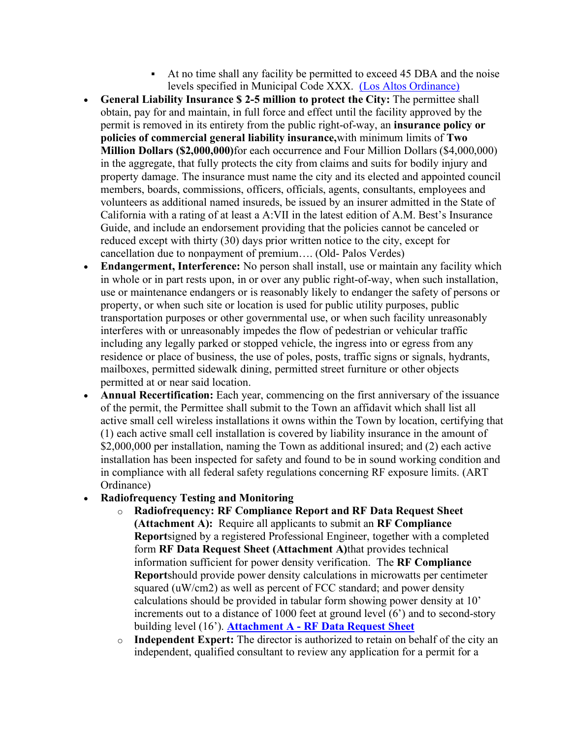- § At no time shall any facility be permitted to exceed 45 DBA and the noise levels specified in Municipal Code XXX. (Los Altos Ordinance)
- **General Liability Insurance \$ 2-5 million to protect the City:** The permittee shall obtain, pay for and maintain, in full force and effect until the facility approved by the permit is removed in its entirety from the public right-of-way, an **insurance policy or policies of commercial general liability insurance,**with minimum limits of **Two Million Dollars (\$2,000,000)**for each occurrence and Four Million Dollars (\$4,000,000) in the aggregate, that fully protects the city from claims and suits for bodily injury and property damage. The insurance must name the city and its elected and appointed council members, boards, commissions, officers, officials, agents, consultants, employees and volunteers as additional named insureds, be issued by an insurer admitted in the State of California with a rating of at least a A:VII in the latest edition of A.M. Best's Insurance Guide, and include an endorsement providing that the policies cannot be canceled or reduced except with thirty (30) days prior written notice to the city, except for cancellation due to nonpayment of premium…. (Old- Palos Verdes)
- **Endangerment, Interference:** No person shall install, use or maintain any facility which in whole or in part rests upon, in or over any public right-of-way, when such installation, use or maintenance endangers or is reasonably likely to endanger the safety of persons or property, or when such site or location is used for public utility purposes, public transportation purposes or other governmental use, or when such facility unreasonably interferes with or unreasonably impedes the flow of pedestrian or vehicular traffic including any legally parked or stopped vehicle, the ingress into or egress from any residence or place of business, the use of poles, posts, traffic signs or signals, hydrants, mailboxes, permitted sidewalk dining, permitted street furniture or other objects permitted at or near said location.
- **Annual Recertification:** Each year, commencing on the first anniversary of the issuance of the permit, the Permittee shall submit to the Town an affidavit which shall list all active small cell wireless installations it owns within the Town by location, certifying that (1) each active small cell installation is covered by liability insurance in the amount of \$2,000,000 per installation, naming the Town as additional insured; and (2) each active installation has been inspected for safety and found to be in sound working condition and in compliance with all federal safety regulations concerning RF exposure limits. (ART Ordinance)

## • **Radiofrequency Testing and Monitoring**

- o **Radiofrequency: RF Compliance Report and RF Data Request Sheet (Attachment A):** Require all applicants to submit an **RF Compliance Report**signed by a registered Professional Engineer, together with a completed form **RF Data Request Sheet (Attachment A)**that provides technical information sufficient for power density verification. The **RF Compliance Report**should provide power density calculations in microwatts per centimeter squared (uW/cm2) as well as percent of FCC standard; and power density calculations should be provided in tabular form showing power density at 10' increments out to a distance of 1000 feet at ground level (6') and to second-story building level (16'). **Attachment A - RF Data Request Sheet**
- o **Independent Expert:** The director is authorized to retain on behalf of the city an independent, qualified consultant to review any application for a permit for a